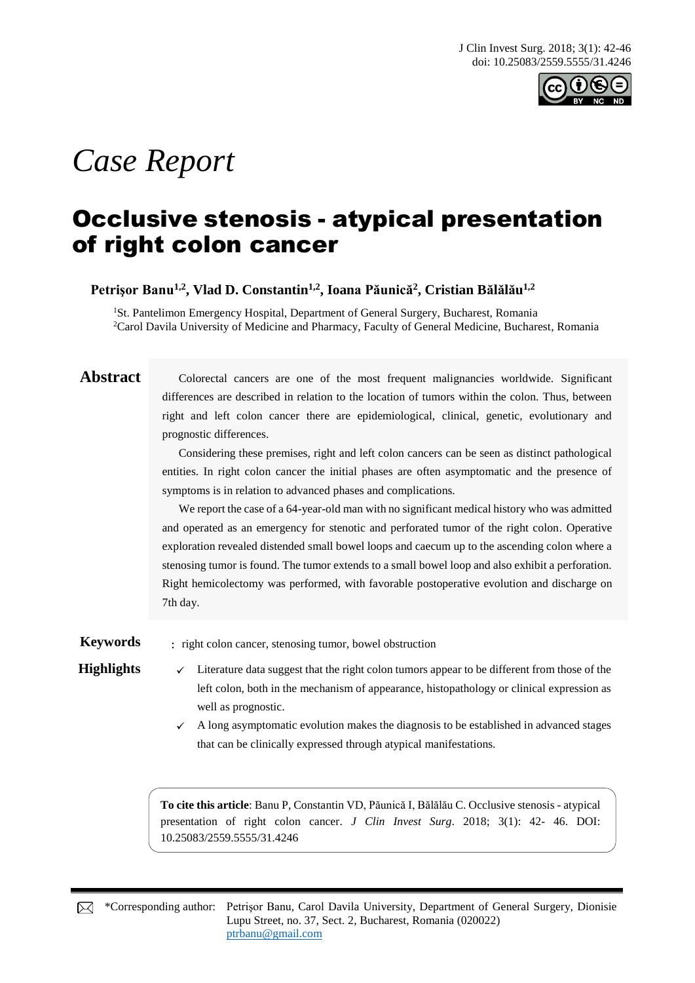

# *Case Report*

## Occlusive stenosis - atypical presentation of right colon cancer

**Petrişor Banu1,2 , Vlad D. Constantin1,2 , Ioana Păunică<sup>2</sup> , Cristian Bălălău 1,2**

<sup>1</sup>St. Pantelimon Emergency Hospital, Department of General Surgery, Bucharest, Romania <sup>2</sup>Carol Davila University of Medicine and Pharmacy, Faculty of General Medicine, Bucharest, Romania

Abstract Colorectal cancers are one of the most frequent malignancies worldwide. Significant differences are described in relation to the location of tumors within the colon. Thus, between right and left colon cancer there are epidemiological, clinical, genetic, evolutionary and prognostic differences.

> Considering these premises, right and left colon cancers can be seen as distinct pathological entities. In right colon cancer the initial phases are often asymptomatic and the presence of symptoms is in relation to advanced phases and complications.

> We report the case of a 64-year-old man with no significant medical history who was admitted and operated as an emergency for stenotic and perforated tumor of the right colon. Operative exploration revealed distended small bowel loops and caecum up to the ascending colon where a stenosing tumor is found. The tumor extends to a small bowel loop and also exhibit a perforation. Right hemicolectomy was performed, with favorable postoperative evolution and discharge on 7th day.

**Keywords** : right colon cancer, stenosing tumor, bowel obstruction

- **Highlights**  $\checkmark$  ∠ Literature data suggest that the right colon tumors appear to be different from those of the left colon, both in the mechanism of appearance, histopathology or clinical expression as well as prognostic.
	- $\checkmark$  A long asymptomatic evolution makes the diagnosis to be established in advanced stages that can be clinically expressed through atypical manifestations.

**To cite this article**: Banu P, Constantin VD, Păunică I, Bălălău C. Occlusive stenosis - atypical presentation of right colon cancer. *J Clin Invest Surg*. 2018; 3(1): 42- 46. DOI: 10.25083/2559.5555/31.4246

\*Corresponding author: Petrişor Banu, Carol Davila University, Department of General Surgery, Dionisie Lupu Street, no. 37, Sect. 2, Bucharest, Romania (020022) [ptrbanu@gmail.com](mailto:ptrbanu@gmail.com)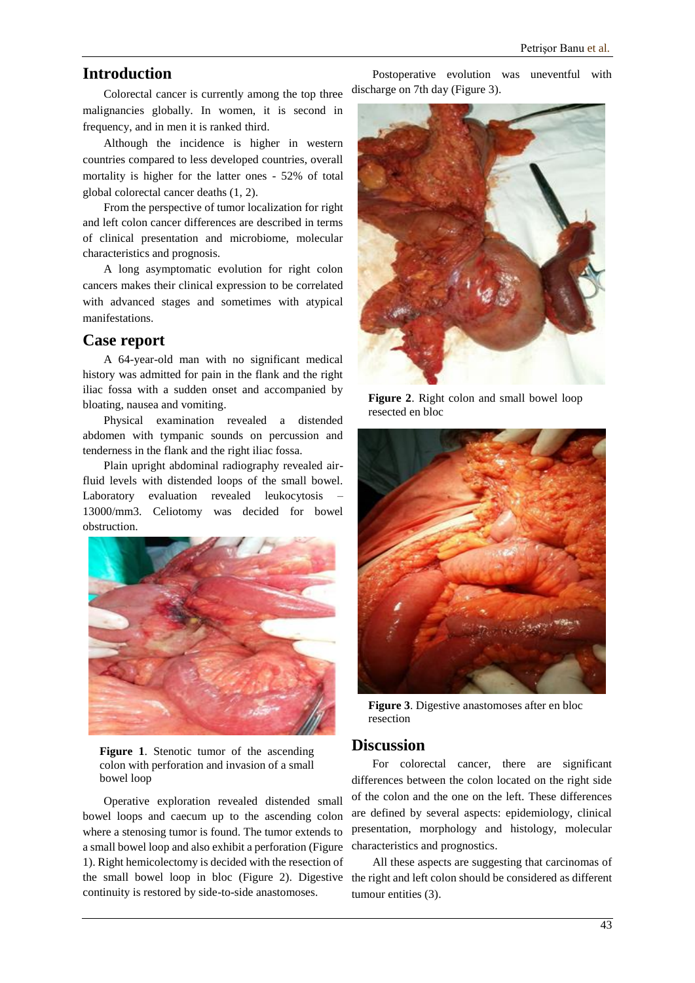## **Introduction**

Colorectal cancer is currently among the top three malignancies globally. In women, it is second in frequency, and in men it is ranked third.

Although the incidence is higher in western countries compared to less developed countries, overall mortality is higher for the latter ones - 52% of total global colorectal cancer deaths (1, 2).

From the perspective of tumor localization for right and left colon cancer differences are described in terms of clinical presentation and microbiome, molecular characteristics and prognosis.

A long asymptomatic evolution for right colon cancers makes their clinical expression to be correlated with advanced stages and sometimes with atypical manifestations.

#### **Case report**

A 64-year-old man with no significant medical history was admitted for pain in the flank and the right iliac fossa with a sudden onset and accompanied by bloating, nausea and vomiting.

Physical examination revealed a distended abdomen with tympanic sounds on percussion and tenderness in the flank and the right iliac fossa.

Plain upright abdominal radiography revealed airfluid levels with distended loops of the small bowel. Laboratory evaluation revealed leukocytosis – 13000/mm3. Celiotomy was decided for bowel obstruction.



**Figure 1**. Stenotic tumor of the ascending colon with perforation and invasion of a small bowel loop

Operative exploration revealed distended small bowel loops and caecum up to the ascending colon where a stenosing tumor is found. The tumor extends to a small bowel loop and also exhibit a perforation (Figure 1). Right hemicolectomy is decided with the resection of the small bowel loop in bloc (Figure 2). Digestive continuity is restored by side-to-side anastomoses.

Postoperative evolution was uneventful with discharge on 7th day (Figure 3).



**Figure 2**. Right colon and small bowel loop resected en bloc



**Figure 3**. Digestive anastomoses after en bloc resection

#### **Discussion**

For colorectal cancer, there are significant differences between the colon located on the right side of the colon and the one on the left. These differences are defined by several aspects: epidemiology, clinical presentation, morphology and histology, molecular characteristics and prognostics.

All these aspects are suggesting that carcinomas of the right and left colon should be considered as different tumour entities (3).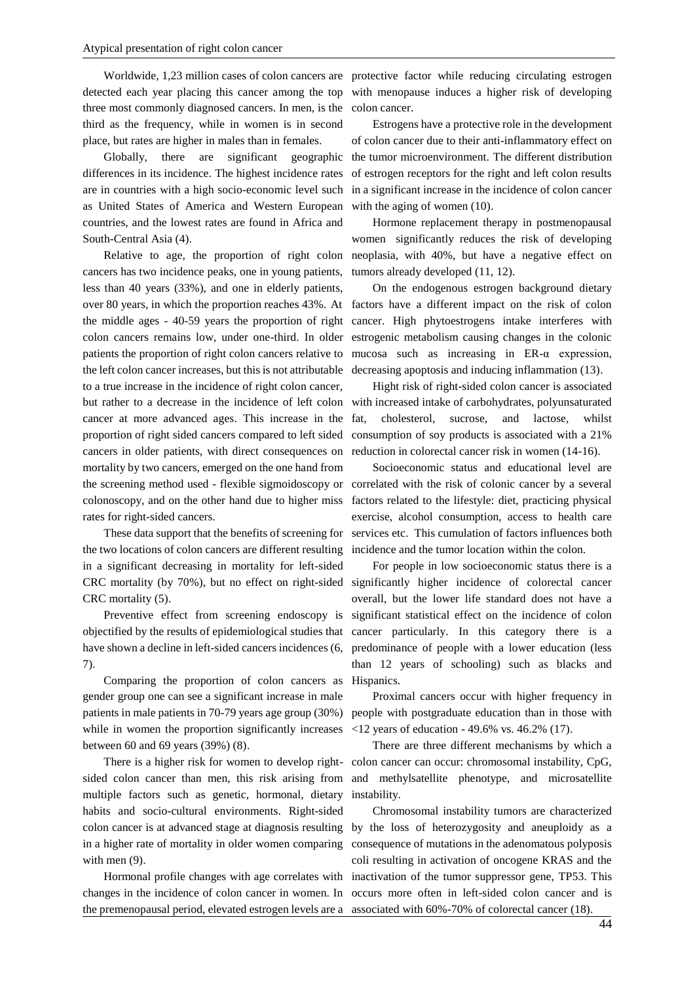detected each year placing this cancer among the top three most commonly diagnosed cancers. In men, is the third as the frequency, while in women is in second place, but rates are higher in males than in females.

Globally, there are significant geographic differences in its incidence. The highest incidence rates are in countries with a high socio-economic level such as United States of America and Western European countries, and the lowest rates are found in Africa and South-Central Asia (4).

Relative to age, the proportion of right colon cancers has two incidence peaks, one in young patients, less than 40 years (33%), and one in elderly patients, the middle ages - 40-59 years the proportion of right colon cancers remains low, under one-third. In older patients the proportion of right colon cancers relative to the left colon cancer increases, but this is not attributable to a true increase in the incidence of right colon cancer, but rather to a decrease in the incidence of left colon cancer at more advanced ages. This increase in the proportion of right sided cancers compared to left sided cancers in older patients, with direct consequences on mortality by two cancers, emerged on the one hand from the screening method used - flexible sigmoidoscopy or colonoscopy, and on the other hand due to higher miss rates for right-sided cancers.

the two locations of colon cancers are different resulting in a significant decreasing in mortality for left-sided CRC mortality (5).

Preventive effect from screening endoscopy is objectified by the results of epidemiological studies that have shown a decline in left-sided cancers incidences  $(6, 6)$ 7).

Comparing the proportion of colon cancers as gender group one can see a significant increase in male while in women the proportion significantly increases between 60 and 69 years (39%) (8).

There is a higher risk for women to develop rightsided colon cancer than men, this risk arising from multiple factors such as genetic, hormonal, dietary habits and socio-cultural environments. Right-sided colon cancer is at advanced stage at diagnosis resulting in a higher rate of mortality in older women comparing with men (9).

Hormonal profile changes with age correlates with changes in the incidence of colon cancer in women. In the premenopausal period, elevated estrogen levels are a associated with 60%-70% of colorectal cancer (18).

Worldwide, 1,23 million cases of colon cancers are protective factor while reducing circulating estrogen with menopause induces a higher risk of developing colon cancer.

> Estrogens have a protective role in the development of colon cancer due to their anti-inflammatory effect on the tumor microenvironment. The different distribution of estrogen receptors for the right and left colon results in a significant increase in the incidence of colon cancer with the aging of women (10).

> Hormone replacement therapy in postmenopausal women significantly reduces the risk of developing neoplasia, with 40%, but have a negative effect on tumors already developed (11, 12).

over 80 years, in which the proportion reaches 43%. At factors have a different impact on the risk of colon On the endogenous estrogen background dietary cancer. High phytoestrogens intake interferes with estrogenic metabolism causing changes in the colonic mucosa such as increasing in ER-α expression, decreasing apoptosis and inducing inflammation (13).

> Hight risk of right-sided colon cancer is associated with increased intake of carbohydrates, polyunsaturated fat, cholesterol, sucrose, and lactose, whilst consumption of soy products is associated with a 21% reduction in colorectal cancer risk in women (14-16).

These data support that the benefits of screening for services etc. This cumulation of factors influences both Socioeconomic status and educational level are correlated with the risk of colonic cancer by a several factors related to the lifestyle: diet, practicing physical exercise, alcohol consumption, access to health care incidence and the tumor location within the colon.

CRC mortality (by 70%), but no effect on right-sided significantly higher incidence of colorectal cancer For people in low socioeconomic status there is a overall, but the lower life standard does not have a significant statistical effect on the incidence of colon cancer particularly. In this category there is a predominance of people with a lower education (less than 12 years of schooling) such as blacks and Hispanics.

patients in male patients in 70-79 years age group (30%) people with postgraduate education than in those with Proximal cancers occur with higher frequency in <12 years of education - 49.6% vs. 46.2% (17).

> There are three different mechanisms by which a colon cancer can occur: chromosomal instability, CpG, and methylsatellite phenotype, and microsatellite instability.

> Chromosomal instability tumors are characterized by the loss of heterozygosity and aneuploidy as a consequence of mutations in the adenomatous polyposis coli resulting in activation of oncogene KRAS and the inactivation of the tumor suppressor gene, TP53. This occurs more often in left-sided colon cancer and is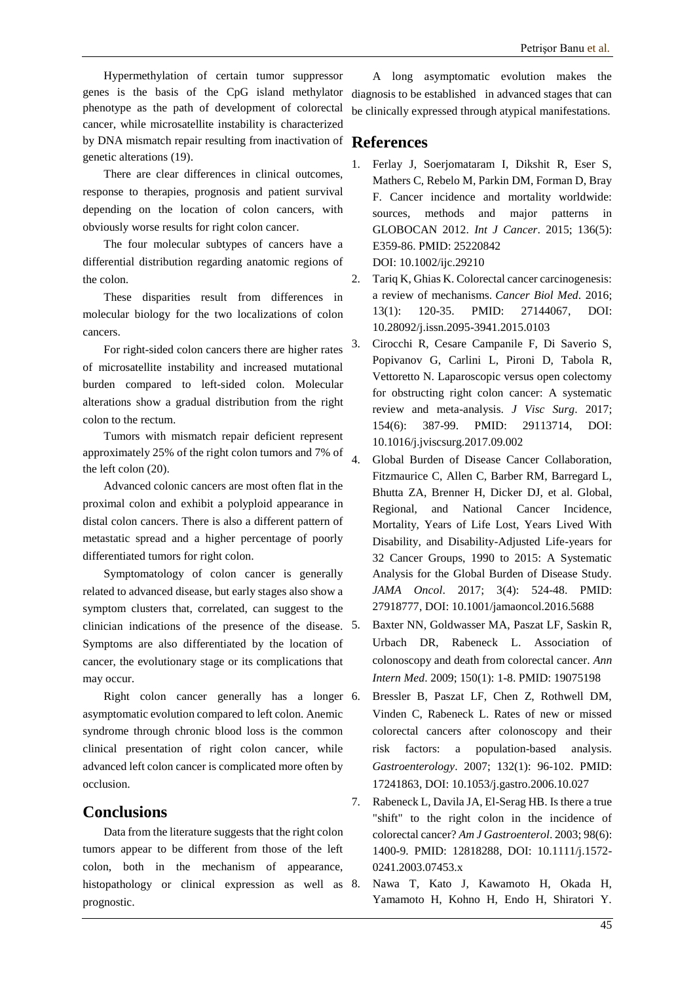Hypermethylation of certain tumor suppressor genes is the basis of the CpG island methylator phenotype as the path of development of colorectal cancer, while microsatellite instability is characterized by DNA mismatch repair resulting from inactivation of **References** genetic alterations (19).

There are clear differences in clinical outcomes, response to therapies, prognosis and patient survival depending on the location of colon cancers, with obviously worse results for right colon cancer.

The four molecular subtypes of cancers have a differential distribution regarding anatomic regions of the colon.

These disparities result from differences in molecular biology for the two localizations of colon cancers.

For right-sided colon cancers there are higher rates of microsatellite instability and increased mutational burden compared to left-sided colon. Molecular alterations show a gradual distribution from the right colon to the rectum.

Tumors with mismatch repair deficient represent approximately 25% of the right colon tumors and 7% of the left colon (20).

Advanced colonic cancers are most often flat in the proximal colon and exhibit a polyploid appearance in distal colon cancers. There is also a different pattern of metastatic spread and a higher percentage of poorly differentiated tumors for right colon.

Symptomatology of colon cancer is generally related to advanced disease, but early stages also show a symptom clusters that, correlated, can suggest to the clinician indications of the presence of the disease. 5. Symptoms are also differentiated by the location of cancer, the evolutionary stage or its complications that may occur.

Right colon cancer generally has a longer 6. asymptomatic evolution compared to left colon. Anemic syndrome through chronic blood loss is the common clinical presentation of right colon cancer, while advanced left colon cancer is complicated more often by occlusion.

## **Conclusions**

Data from the literature suggests that the right colon tumors appear to be different from those of the left colon, both in the mechanism of appearance, histopathology or clinical expression as well as 8. prognostic.

A long asymptomatic evolution makes the diagnosis to be established in advanced stages that can be clinically expressed through atypical manifestations.

- 1. Ferlay J, Soerjomataram I, Dikshit R, Eser S, Mathers C, Rebelo M, Parkin DM, Forman D, Bray F. Cancer incidence and mortality worldwide: sources, methods and major patterns in GLOBOCAN 2012. *Int J Cancer*. 2015; 136(5): E359-86. PMID: 25220842 DOI: 10.1002/ijc.29210
- 2. Tariq K, Ghias K. Colorectal cancer carcinogenesis: a review of mechanisms. *Cancer Biol Med*. 2016; 13(1): 120-35. PMID: 27144067, DOI: 10.28092/j.issn.2095-3941.2015.0103
- 3. Cirocchi R, Cesare Campanile F, Di Saverio S, Popivanov G, Carlini L, Pironi D, Tabola R, Vettoretto N. Laparoscopic versus open colectomy for obstructing right colon cancer: A systematic review and meta-analysis. *J Visc Surg*. 2017; 154(6): 387-99. PMID: 29113714, DOI: 10.1016/j.jviscsurg.2017.09.002
- 4. Global Burden of Disease Cancer Collaboration, Fitzmaurice C, Allen C, Barber RM, Barregard L, Bhutta ZA, Brenner H, Dicker DJ, et al. Global, Regional, and National Cancer Incidence, Mortality, Years of Life Lost, Years Lived With Disability, and Disability-Adjusted Life-years for 32 Cancer Groups, 1990 to 2015: A Systematic Analysis for the Global Burden of Disease Study. *JAMA Oncol*. 2017; 3(4): 524-48. PMID: 27918777, DOI: 10.1001/jamaoncol.2016.5688
- 5. Baxter NN, Goldwasser MA, Paszat LF, Saskin R, Urbach DR, Rabeneck L. Association of colonoscopy and death from colorectal cancer. *Ann Intern Med*. 2009; 150(1): 1-8. PMID: 19075198
- 6. Bressler B, Paszat LF, Chen Z, Rothwell DM, Vinden C, Rabeneck L. Rates of new or missed colorectal cancers after colonoscopy and their risk factors: a population-based analysis. *Gastroenterology*. 2007; 132(1): 96-102. PMID: 17241863, DOI: 10.1053/j.gastro.2006.10.027
- 7. Rabeneck L, Davila JA, El-Serag HB. Is there a true "shift" to the right colon in the incidence of colorectal cancer? *Am J Gastroenterol*. 2003; 98(6): 1400-9. PMID: 12818288, DOI: 10.1111/j.1572- 0241.2003.07453.x
	- 8. Nawa T, Kato J, Kawamoto H, Okada H, Yamamoto H, Kohno H, Endo H, Shiratori Y.